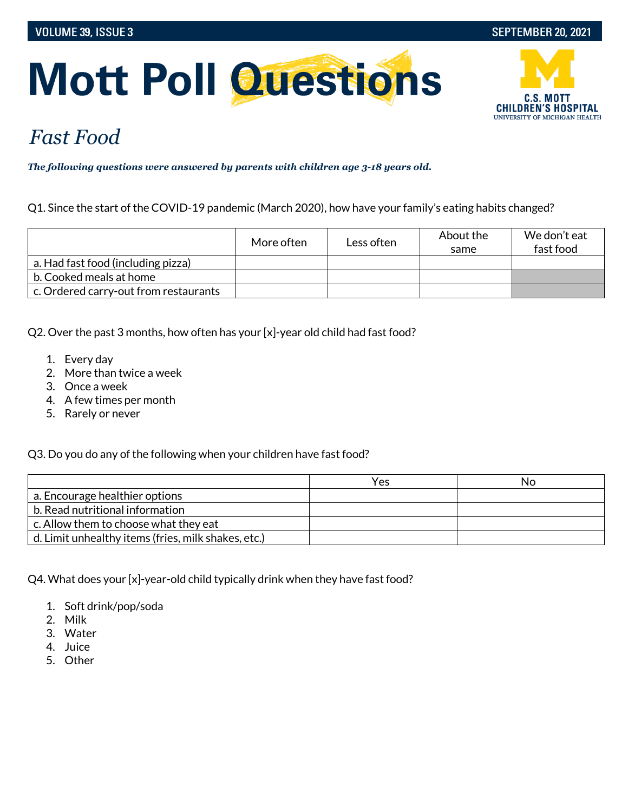# **Mott Poll Questions**



## *Fast Food*

*The following questions were answered by parents with children age 3-18 years old.*

Q1. Since the start of the COVID-19 pandemic (March 2020), how have your family's eating habits changed?

|                                       | More often | Less often | About the<br>same | We don't eat<br>fast food |
|---------------------------------------|------------|------------|-------------------|---------------------------|
| a. Had fast food (including pizza)    |            |            |                   |                           |
| b. Cooked meals at home               |            |            |                   |                           |
| c. Ordered carry-out from restaurants |            |            |                   |                           |

Q2. Over the past 3 months, how often has your [x]-year old child had fast food?

- 1. Every day
- 2. More than twice a week
- 3. Once a week
- 4. A few times per month
- 5. Rarely or never

Q3. Do you do any of the following when your children have fast food?

|                                                     | Yes | NΟ |
|-----------------------------------------------------|-----|----|
| a. Encourage healthier options                      |     |    |
| b. Read nutritional information                     |     |    |
| c. Allow them to choose what they eat               |     |    |
| d. Limit unhealthy items (fries, milk shakes, etc.) |     |    |

Q4. What does your [x]-year-old child typically drink when they have fast food?

- 1. Soft drink/pop/soda
- 2. Milk
- 3. Water
- 4. Juice
- 5. Other